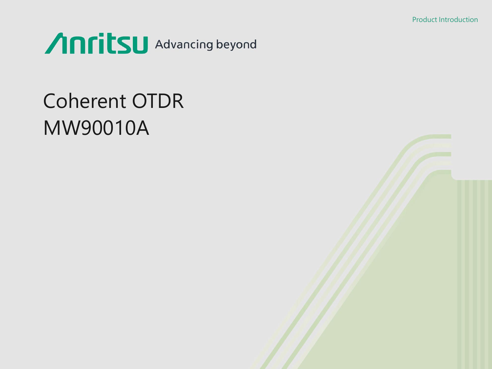Product Introduction



## Coherent OTDR MW90010A

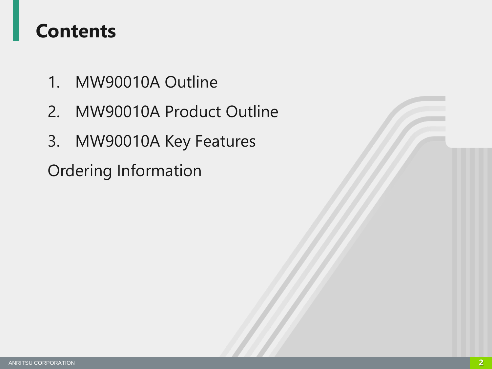### **Contents**

- 1. MW90010A Outline
- 2. MW90010A Product Outline
- 3. MW90010A Key Features

Ordering Information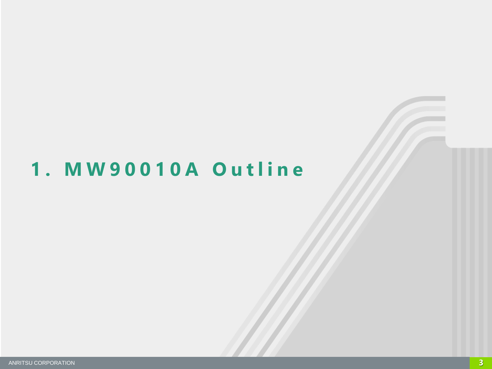## 1. MW90010A Outline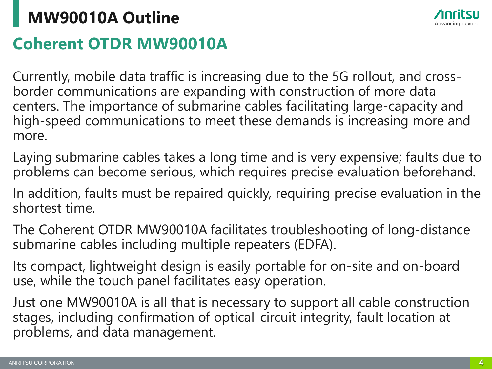## **Coherent OTDR MW90010A MW90010A Outline**

Currently, mobile data traffic is increasing due to the 5G rollout, and crossborder communications are expanding with construction of more data centers. The importance of submarine cables facilitating large-capacity and high-speed communications to meet these demands is increasing more and more.

Laying submarine cables takes a long time and is very expensive; faults due to problems can become serious, which requires precise evaluation beforehand.

In addition, faults must be repaired quickly, requiring precise evaluation in the shortest time.

The Coherent OTDR MW90010A facilitates troubleshooting of long-distance submarine cables including multiple repeaters (EDFA).

Its compact, lightweight design is easily portable for on-site and on-board use, while the touch panel facilitates easy operation.

Just one MW90010A is all that is necessary to support all cable construction stages, including confirmation of optical-circuit integrity, fault location at problems, and data management.

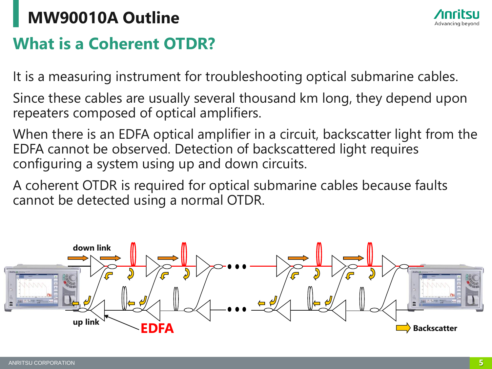## **What is a Coherent OTDR? MW90010A Outline**

It is a measuring instrument for troubleshooting optical submarine cables.

Since these cables are usually several thousand km long, they depend upon repeaters composed of optical amplifiers.

When there is an EDFA optical amplifier in a circuit, backscatter light from the EDFA cannot be observed. Detection of backscattered light requires configuring a system using up and down circuits.

A coherent OTDR is required for optical submarine cables because faults cannot be detected using a normal OTDR.



![](_page_4_Picture_8.jpeg)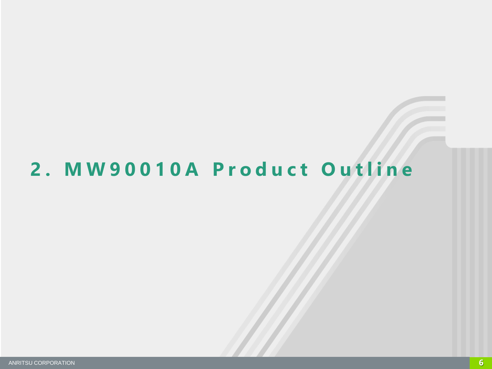## 2. MW90010A Product Outline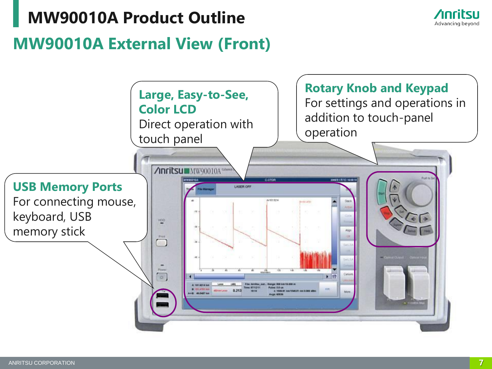#### **MW90010A Product Outline**

![](_page_6_Picture_1.jpeg)

#### **MW90010A External View (Front)**

![](_page_6_Figure_3.jpeg)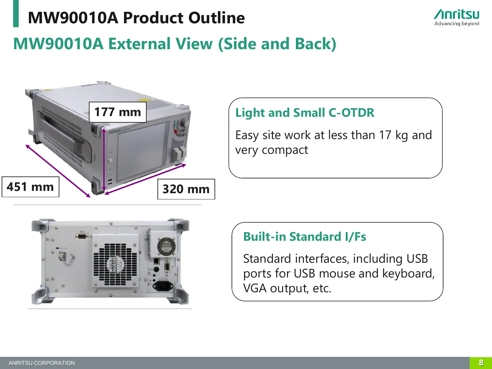#### **MW90010A Product Outline**

![](_page_7_Picture_1.jpeg)

#### **MW90010A External View (Side and Back)**

![](_page_7_Picture_3.jpeg)

#### **Light and Small C-OTDR**

Easy site work at less than 17 kg and very compact

![](_page_7_Picture_6.jpeg)

#### **Built-in Standard I/Fs**

Standard interfaces, including USB ports for USB mouse and keyboard, VGA output, etc.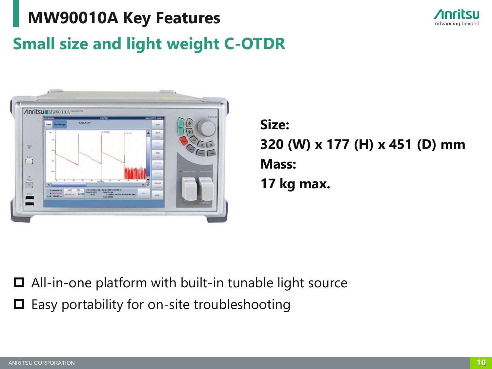## **Small size and light weight C-OTDR MW90010A Key Features**

![](_page_9_Picture_1.jpeg)

![](_page_9_Picture_2.jpeg)

**Size: 320 (W) x 177 (H) x 451 (D) mm Mass: 17 kg max.**

 All-in-one platform with built-in tunable light source  $\Box$  Easy portability for on-site troubleshooting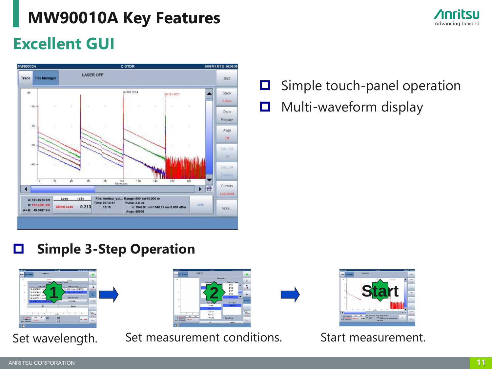![](_page_10_Picture_1.jpeg)

#### **Excellent GUI**

![](_page_10_Figure_3.jpeg)

 $\Box$  Simple touch-panel operation

 $\Box$  Multi-waveform display

#### **Simple 3-Step Operation**

| <b>BONDATOL</b>                       |                            |                  |                     | COTER                  |                |                   |                     | Novels, Jarany 5, 1906 7 88 92 FM |                  |
|---------------------------------------|----------------------------|------------------|---------------------|------------------------|----------------|-------------------|---------------------|-----------------------------------|------------------|
| <b>File Manager</b><br>Trace I        |                            | <b>LASER OFF</b> |                     |                        |                |                   |                     |                                   |                  |
| $\overline{\phantom{a}}$              |                            |                  | 472,000             |                        |                | <b>IS-ON-SAFE</b> |                     |                                   | п                |
|                                       |                            |                  | <b>Way</b>          |                        | / Output Power |                   |                     |                                   |                  |
| m                                     |                            | <b>Probe Lio</b> |                     |                        |                |                   | Loading Light       |                                   | o                |
|                                       | Ch.35 1548 91 nm 19        |                  |                     |                        |                |                   |                     | 2h 39 1550.11 nm 193 40 THz       | <b>Deal Draw</b> |
| $-100$                                | Ch.37 1549.31 nm           |                  |                     |                        |                |                   |                     | 1550.91 mm 193.30 THz             |                  |
|                                       | Ch.38 1549.71 mm 1         |                  |                     |                        |                |                   |                     |                                   | λ                |
|                                       | Ch.39 1550.11 nm 19        |                  |                     |                        |                |                   | <b>Output Power</b> |                                   |                  |
| 79                                    | Ch 49 1550.51 mm 193.35-Ti |                  |                     |                        |                |                   | 0.000 cRm           | ٠                                 | <b>Parzeness</b> |
| $\boldsymbol{\alpha}$                 |                            | OK.              |                     |                        |                |                   | Cancel              |                                   | <b>CONTRACT</b>  |
|                                       |                            |                  |                     |                        |                |                   |                     |                                   | The n            |
| u                                     | x<br>т                     | Ŧ                | ÷                   |                        | T              | т                 | Ŧ                   | w                                 | origo            |
| A1 - 22 2222 VIA                      | <b>Lass</b>                | <b>LESS</b>      | <b>Bit</b><br>Texas | <b>Nazar</b><br>Fabre: |                |                   |                     |                                   |                  |
| <b>66,8067 km</b><br>Andr. 00 8500 km | <b>S-PELONA</b>            |                  |                     | - 11<br>Aves           |                |                   |                     | <b>HDRI 1. FINORISC</b>           | Mine             |

# 1 **2 2 1 2 1 2**

Set wavelength. Set measurement conditions. Start measurement.

![](_page_10_Picture_11.jpeg)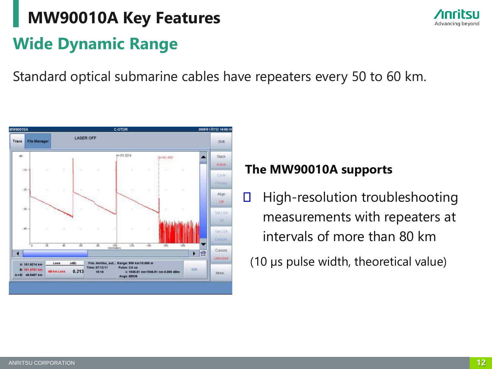## **Wide Dynamic Range MW90010A Key Features**

Advancing beyond

Standard optical submarine cables have repeaters every 50 to 60 km.

![](_page_11_Figure_3.jpeg)

#### **The MW90010A supports**

High-resolution troubleshooting  $\Box$ measurements with repeaters at intervals of more than 80 km

(10 µs pulse width, theoretical value)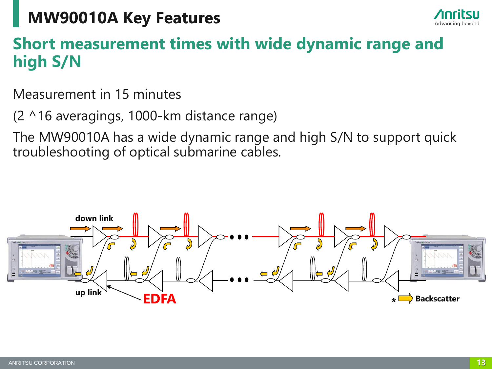![](_page_12_Picture_1.jpeg)

#### **Short measurement times with wide dynamic range and high S/N**

Measurement in 15 minutes

(2 ^16 averagings, 1000-km distance range)

The MW90010A has a wide dynamic range and high S/N to support quick troubleshooting of optical submarine cables.

![](_page_12_Figure_6.jpeg)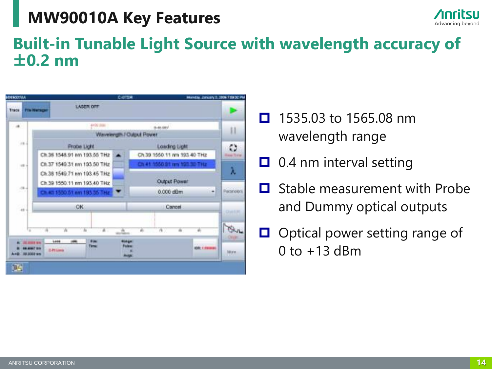![](_page_13_Picture_1.jpeg)

#### **Built-in Tunable Light Source with wavelength accuracy of ±0.2 nm**

![](_page_13_Picture_3.jpeg)

- $\Box$  1535.03 to 1565.08 nm wavelength range
- $\Box$  0.4 nm interval setting
- Stable measurement with Probe and Dummy optical outputs
- $\Box$  Optical power setting range of  $0$  to  $+13$  dBm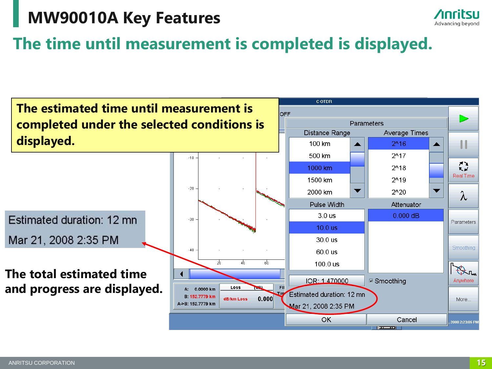![](_page_14_Picture_1.jpeg)

#### **The time until measurement is completed is displayed.**

![](_page_14_Figure_3.jpeg)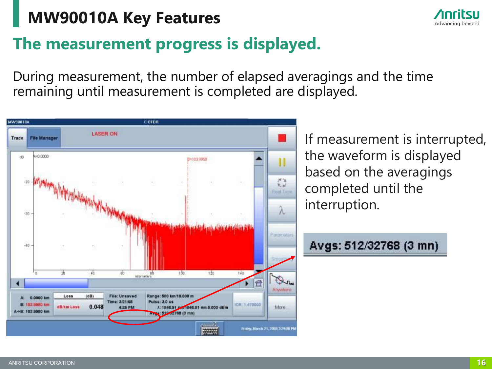![](_page_15_Picture_1.jpeg)

#### **The measurement progress is displayed.**

During measurement, the number of elapsed averagings and the time remaining until measurement is completed are displayed.

![](_page_15_Figure_4.jpeg)

If measurement is interrupted, the waveform is displayed based on the averagings completed until the interruption.

```
Avgs: 512/32768 (3 mn)
```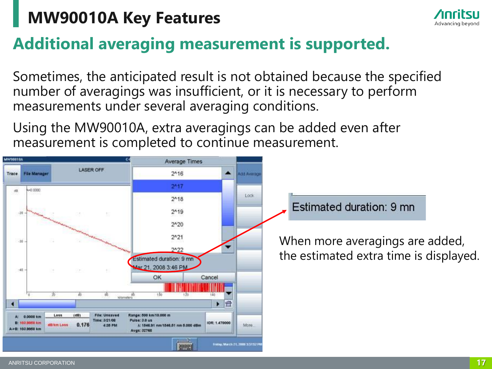![](_page_16_Picture_1.jpeg)

#### **Additional averaging measurement is supported.**

Sometimes, the anticipated result is not obtained because the specified number of averagings was insufficient, or it is necessary to perform measurements under several averaging conditions.

Using the MW90010A, extra averagings can be added even after measurement is completed to continue measurement.

![](_page_16_Figure_5.jpeg)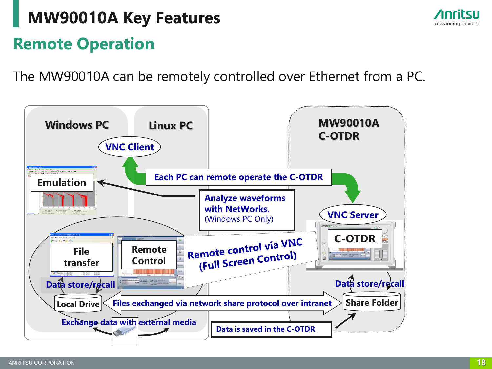## **Remote Operation MW90010A Key Features**

The MW90010A can be remotely controlled over Ethernet from a PC.

![](_page_17_Figure_2.jpeg)

![](_page_17_Picture_5.jpeg)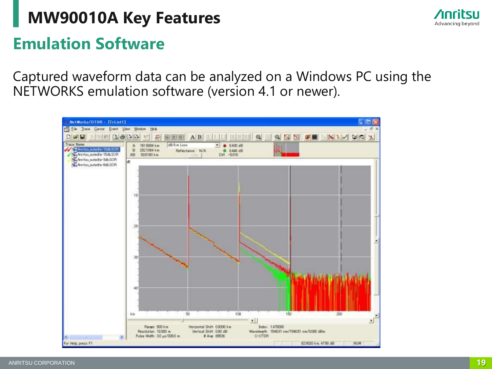![](_page_18_Picture_1.jpeg)

#### **Emulation Software**

Captured waveform data can be analyzed on a Windows PC using the NETWORKS emulation software (version 4.1 or newer).

![](_page_18_Figure_4.jpeg)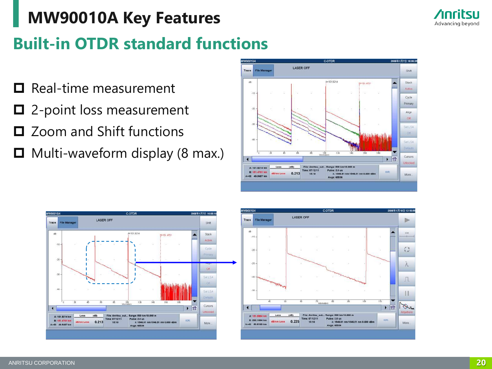![](_page_19_Picture_1.jpeg)

#### **Built-in OTDR standard functions**

- $\Box$  Real-time measurement
- □ 2-point loss measurement
- **□** Zoom and Shift functions
- $\Box$  Multi-waveform display (8 max.)

![](_page_19_Figure_7.jpeg)

![](_page_19_Figure_8.jpeg)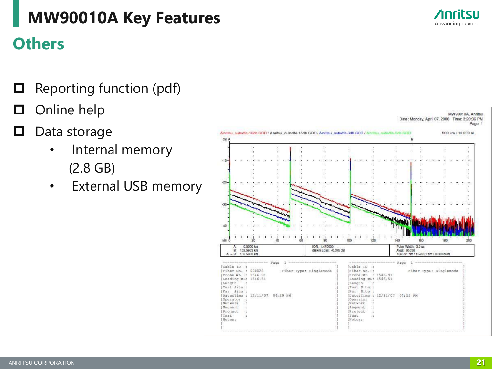#### **Others**

- $\Box$  Reporting function (pdf)
- **O**nline help
- $\Box$  Data storage
	- Internal memory (2.8 GB)
	- External USB memory

![](_page_20_Figure_8.jpeg)

![](_page_20_Picture_9.jpeg)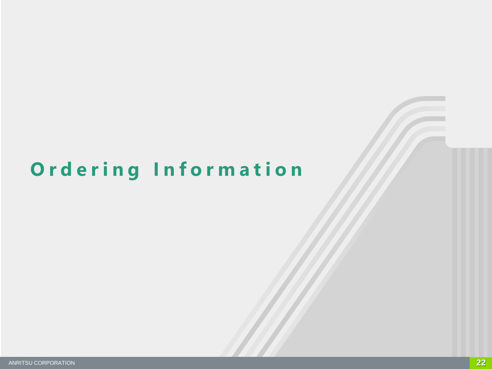## **O r d e r i n g I n f o r m a t i o n**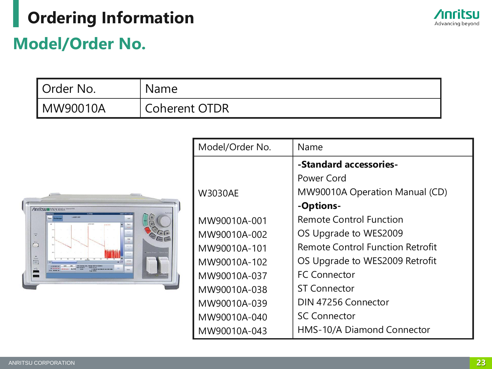## **Ordering Information**

![](_page_22_Picture_1.jpeg)

#### **Model/Order No.**

| <b>I</b> Order No. | <b>Name</b>          |
|--------------------|----------------------|
| ! MW90010A         | <b>Coherent OTDR</b> |

![](_page_22_Figure_4.jpeg)

| Model/Order No. | Name                                    |
|-----------------|-----------------------------------------|
|                 | -Standard accessories-                  |
|                 | Power Cord                              |
| <b>W3030AE</b>  | MW90010A Operation Manual (CD)          |
|                 | -Options-                               |
| MW90010A-001    | <b>Remote Control Function</b>          |
| MW90010A-002    | OS Upgrade to WES2009                   |
| MW90010A-101    | <b>Remote Control Function Retrofit</b> |
| MW90010A-102    | OS Upgrade to WES2009 Retrofit          |
| MW90010A-037    | <b>FC Connector</b>                     |
| MW90010A-038    | <b>ST Connector</b>                     |
| MW90010A-039    | DIN 47256 Connector                     |
| MW90010A-040    | <b>SC Connector</b>                     |
| MW90010A-043    | HMS-10/A Diamond Connector              |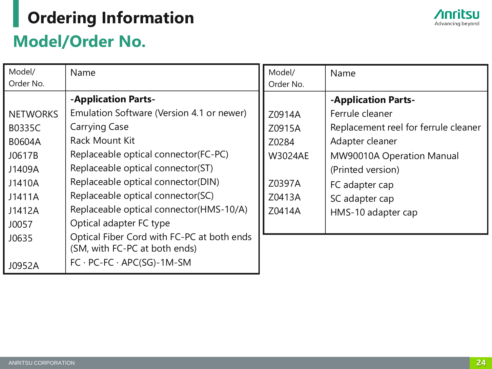## **Model/Order No. Ordering Information**

| Model/<br>Order No. | Name                                                                        | Model/<br>Order No. | Name                                 |
|---------------------|-----------------------------------------------------------------------------|---------------------|--------------------------------------|
|                     | -Application Parts-                                                         |                     | -Application Parts-                  |
| <b>NETWORKS</b>     | Emulation Software (Version 4.1 or newer)                                   | Z0914A              | Ferrule cleaner                      |
| B0335C              | <b>Carrying Case</b>                                                        | Z0915A              | Replacement reel for ferrule cleaner |
| <b>B0604A</b>       | <b>Rack Mount Kit</b>                                                       | Z0284               | Adapter cleaner                      |
| J0617B              | Replaceable optical connector(FC-PC)                                        | <b>W3024AE</b>      | MW90010A Operation Manual            |
| J1409A              | Replaceable optical connector(ST)                                           |                     | (Printed version)                    |
| J1410A              | Replaceable optical connector(DIN)                                          | Z0397A              | FC adapter cap                       |
| J1411A              | Replaceable optical connector(SC)                                           | Z0413A              | SC adapter cap                       |
| J1412A              | Replaceable optical connector(HMS-10/A)                                     | Z0414A              | HMS-10 adapter cap                   |
| J0057               | Optical adapter FC type                                                     |                     |                                      |
| J0635               | Optical Fiber Cord with FC-PC at both ends<br>(SM, with FC-PC at both ends) |                     |                                      |
| J0952A              | $FC \cdot PC\text{-}FC \cdot APC(SG)\text{-}1M\text{-}SM$                   |                     |                                      |

![](_page_23_Picture_4.jpeg)